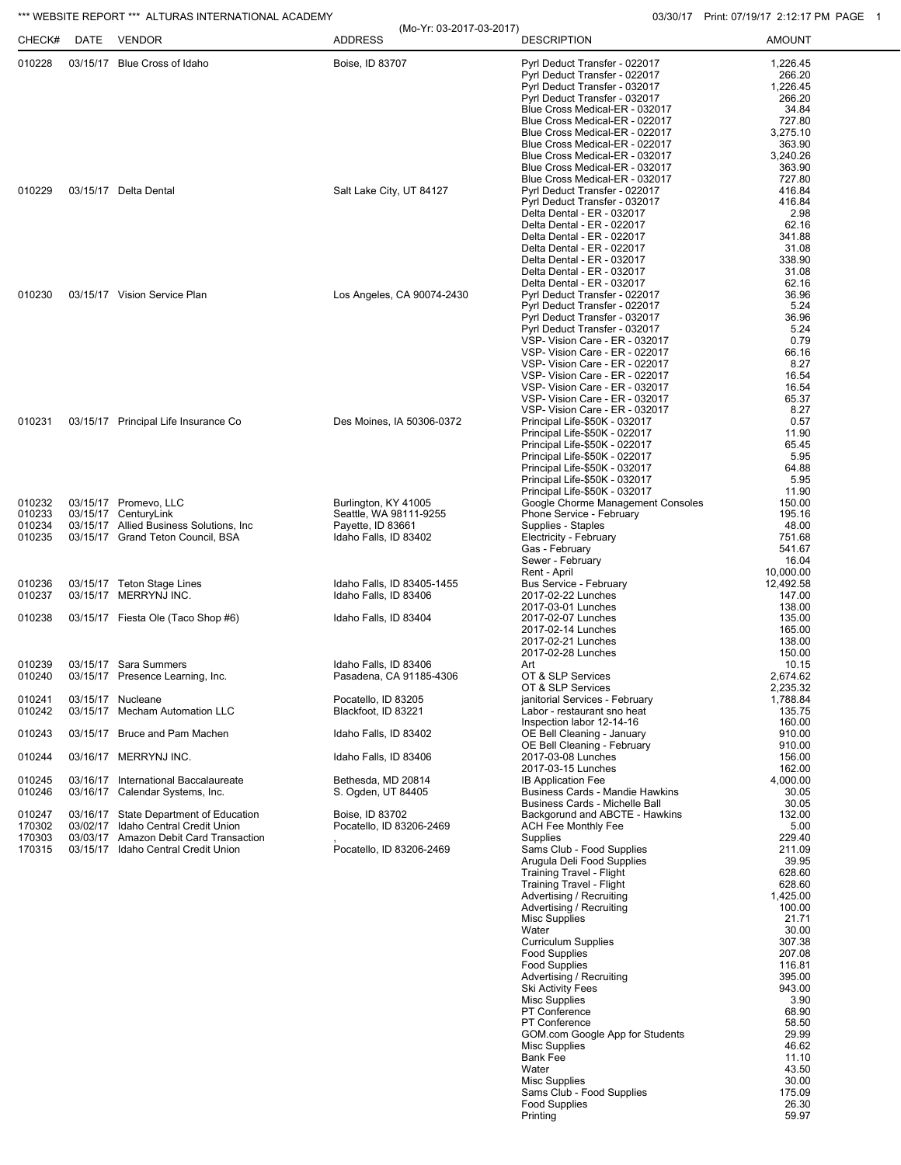## \*\*\* WEBSITE REPORT \*\*\* ALTURAS INTERNATIONAL ACADEMY **CONSUMENT CONSUMING THE CONSUMING OS** 03/30/17 Print: 07/19/17 2:12:17 PM PAGE 1

| CHECK#           | DATE | <b>VENDOR</b>                                                                 | (Mo-Yr: 03-2017-03-2017)<br><b>ADDRESS</b>          | <b>DESCRIPTION</b>                                                                                                                                                                                                                                                       | <b>AMOUNT</b>                                                                     |
|------------------|------|-------------------------------------------------------------------------------|-----------------------------------------------------|--------------------------------------------------------------------------------------------------------------------------------------------------------------------------------------------------------------------------------------------------------------------------|-----------------------------------------------------------------------------------|
| 010228           |      | 03/15/17 Blue Cross of Idaho                                                  | Boise, ID 83707                                     | Pyrl Deduct Transfer - 022017<br>Pyrl Deduct Transfer - 022017<br>Pyrl Deduct Transfer - 032017<br>Pyrl Deduct Transfer - 032017<br>Blue Cross Medical-ER - 032017<br>Blue Cross Medical-ER - 022017<br>Blue Cross Medical-ER - 022017<br>Blue Cross Medical-ER - 022017 | 1,226.45<br>266.20<br>1,226.45<br>266.20<br>34.84<br>727.80<br>3,275.10<br>363.90 |
| 010229<br>010230 |      |                                                                               |                                                     | Blue Cross Medical-ER - 032017<br>Blue Cross Medical-ER - 032017                                                                                                                                                                                                         | 3,240.26<br>363.90                                                                |
|                  |      | 03/15/17 Delta Dental                                                         | Salt Lake City, UT 84127                            | Blue Cross Medical-ER - 032017<br>Pyrl Deduct Transfer - 022017                                                                                                                                                                                                          | 727.80<br>416.84                                                                  |
|                  |      |                                                                               |                                                     | Pyrl Deduct Transfer - 032017<br>Delta Dental - ER - 032017                                                                                                                                                                                                              | 416.84<br>2.98                                                                    |
|                  |      |                                                                               |                                                     | Delta Dental - ER - 022017                                                                                                                                                                                                                                               | 62.16                                                                             |
|                  |      |                                                                               |                                                     | Delta Dental - ER - 022017<br>Delta Dental - ER - 022017                                                                                                                                                                                                                 | 341.88<br>31.08                                                                   |
|                  |      |                                                                               |                                                     | Delta Dental - ER - 032017<br>Delta Dental - ER - 032017                                                                                                                                                                                                                 | 338.90<br>31.08                                                                   |
|                  |      | 03/15/17 Vision Service Plan                                                  | Los Angeles, CA 90074-2430                          | Delta Dental - ER - 032017<br>Pyrl Deduct Transfer - 022017                                                                                                                                                                                                              | 62.16<br>36.96                                                                    |
|                  |      |                                                                               |                                                     | Pyrl Deduct Transfer - 022017<br>Pyrl Deduct Transfer - 032017                                                                                                                                                                                                           | 5.24<br>36.96                                                                     |
|                  |      |                                                                               |                                                     | Pyrl Deduct Transfer - 032017<br>VSP- Vision Care - ER - 032017                                                                                                                                                                                                          | 5.24<br>0.79                                                                      |
|                  |      |                                                                               |                                                     | VSP- Vision Care - ER - 022017<br>VSP- Vision Care - ER - 022017                                                                                                                                                                                                         | 66.16<br>8.27                                                                     |
|                  |      |                                                                               |                                                     | VSP- Vision Care - ER - 022017                                                                                                                                                                                                                                           | 16.54<br>16.54                                                                    |
|                  |      |                                                                               |                                                     | VSP- Vision Care - ER - 032017<br>VSP- Vision Care - ER - 032017                                                                                                                                                                                                         | 65.37                                                                             |
| 010231           |      | 03/15/17 Principal Life Insurance Co                                          | Des Moines, IA 50306-0372                           | VSP- Vision Care - ER - 032017<br>Principal Life-\$50K - 032017                                                                                                                                                                                                          | 8.27<br>0.57                                                                      |
|                  |      |                                                                               |                                                     | Principal Life-\$50K - 022017<br>Principal Life-\$50K - 022017                                                                                                                                                                                                           | 11.90<br>65.45                                                                    |
|                  |      |                                                                               |                                                     | Principal Life-\$50K - 022017<br>Principal Life-\$50K - 032017                                                                                                                                                                                                           | 5.95<br>64.88                                                                     |
|                  |      |                                                                               |                                                     | Principal Life-\$50K - 032017<br>Principal Life-\$50K - 032017                                                                                                                                                                                                           | 5.95<br>11.90                                                                     |
| 010232<br>010233 |      | 03/15/17 Promevo, LLC<br>03/15/17 CenturyLink                                 | Burlington, KY 41005<br>Seattle, WA 98111-9255      | Google Chorme Management Consoles<br>Phone Service - February                                                                                                                                                                                                            | 150.00<br>195.16                                                                  |
| 010234           |      | 03/15/17 Allied Business Solutions, Inc.                                      | Payette, ID 83661                                   | Supplies - Staples                                                                                                                                                                                                                                                       | 48.00                                                                             |
| 010235           |      | 03/15/17 Grand Teton Council, BSA                                             | Idaho Falls, ID 83402                               | Electricity - February<br>Gas - February                                                                                                                                                                                                                                 | 751.68<br>541.67                                                                  |
|                  |      |                                                                               |                                                     | Sewer - February<br>Rent - April                                                                                                                                                                                                                                         | 16.04<br>10,000.00                                                                |
| 010236<br>010237 |      | 03/15/17 Teton Stage Lines<br>03/15/17 MERRYNJ INC.                           | Idaho Falls, ID 83405-1455<br>Idaho Falls, ID 83406 | Bus Service - February<br>2017-02-22 Lunches                                                                                                                                                                                                                             | 12,492.58<br>147.00                                                               |
| 010238           |      | 03/15/17 Fiesta Ole (Taco Shop #6)                                            | Idaho Falls, ID 83404                               | 2017-03-01 Lunches<br>2017-02-07 Lunches                                                                                                                                                                                                                                 | 138.00<br>135.00                                                                  |
|                  |      |                                                                               |                                                     | 2017-02-14 Lunches<br>2017-02-21 Lunches                                                                                                                                                                                                                                 | 165.00<br>138.00                                                                  |
| 010239           |      | 03/15/17 Sara Summers                                                         | Idaho Falls, ID 83406                               | 2017-02-28 Lunches<br>Art                                                                                                                                                                                                                                                | 150.00<br>10.15                                                                   |
| 010240           |      | 03/15/17 Presence Learning, Inc.                                              | Pasadena, CA 91185-4306                             | OT & SLP Services<br>OT & SLP Services                                                                                                                                                                                                                                   | 2,674.62<br>2,235.32                                                              |
| 010241<br>010242 |      | 03/15/17 Nucleane<br>03/15/17 Mecham Automation LLC                           | Pocatello, ID 83205<br>Blackfoot, ID 83221          | janitorial Services - February<br>Labor - restaurant sno heat                                                                                                                                                                                                            | 1,788.84<br>135.75                                                                |
|                  |      |                                                                               |                                                     | Inspection labor 12-14-16                                                                                                                                                                                                                                                | 160.00                                                                            |
| 010243           |      | 03/15/17 Bruce and Pam Machen                                                 | Idaho Falls, ID 83402                               | OE Bell Cleaning - January<br>OE Bell Cleaning - February                                                                                                                                                                                                                | 910.00<br>910.00                                                                  |
| 010244           |      | 03/16/17 MERRYNJ INC.                                                         | Idaho Falls, ID 83406                               | 2017-03-08 Lunches<br>2017-03-15 Lunches                                                                                                                                                                                                                                 | 156.00<br>162.00                                                                  |
| 010245<br>010246 |      | 03/16/17 International Baccalaureate<br>03/16/17 Calendar Systems, Inc.       | Bethesda, MD 20814<br>S. Ogden, UT 84405            | <b>IB Application Fee</b><br><b>Business Cards - Mandie Hawkins</b>                                                                                                                                                                                                      | 4,000.00<br>30.05                                                                 |
| 010247           |      | 03/16/17 State Department of Education                                        | Boise, ID 83702                                     | Business Cards - Michelle Ball<br>Backgorund and ABCTE - Hawkins                                                                                                                                                                                                         | 30.05<br>132.00                                                                   |
| 170302<br>170303 |      | 03/02/17 Idaho Central Credit Union<br>03/03/17 Amazon Debit Card Transaction | Pocatello, ID 83206-2469                            | <b>ACH Fee Monthly Fee</b><br>Supplies                                                                                                                                                                                                                                   | 5.00<br>229.40                                                                    |
| 170315           |      | 03/15/17 Idaho Central Credit Union                                           | Pocatello, ID 83206-2469                            | Sams Club - Food Supplies<br>Arugula Deli Food Supplies                                                                                                                                                                                                                  | 211.09<br>39.95                                                                   |
|                  |      |                                                                               |                                                     | <b>Training Travel - Flight</b><br><b>Training Travel - Flight</b>                                                                                                                                                                                                       | 628.60<br>628.60                                                                  |
|                  |      |                                                                               |                                                     | Advertising / Recruiting                                                                                                                                                                                                                                                 | 1,425.00                                                                          |
|                  |      |                                                                               |                                                     | Advertising / Recruiting<br><b>Misc Supplies</b>                                                                                                                                                                                                                         | 100.00<br>21.71                                                                   |
|                  |      |                                                                               |                                                     | Water<br><b>Curriculum Supplies</b>                                                                                                                                                                                                                                      | 30.00<br>307.38                                                                   |
|                  |      |                                                                               |                                                     | <b>Food Supplies</b><br><b>Food Supplies</b>                                                                                                                                                                                                                             | 207.08<br>116.81                                                                  |
|                  |      |                                                                               |                                                     | Advertising / Recruiting<br><b>Ski Activity Fees</b>                                                                                                                                                                                                                     | 395.00<br>943.00                                                                  |
|                  |      |                                                                               |                                                     | <b>Misc Supplies</b><br>PT Conference                                                                                                                                                                                                                                    | 3.90<br>68.90                                                                     |
|                  |      |                                                                               |                                                     | PT Conference<br>GOM.com Google App for Students                                                                                                                                                                                                                         | 58.50<br>29.99                                                                    |
|                  |      |                                                                               |                                                     | <b>Misc Supplies</b>                                                                                                                                                                                                                                                     | 46.62                                                                             |
|                  |      |                                                                               |                                                     | <b>Bank Fee</b><br>Water                                                                                                                                                                                                                                                 | 11.10<br>43.50                                                                    |
|                  |      |                                                                               |                                                     | <b>Misc Supplies</b><br>Sams Club - Food Supplies                                                                                                                                                                                                                        | 30.00<br>175.09                                                                   |
|                  |      |                                                                               |                                                     | <b>Food Supplies</b><br>Printing                                                                                                                                                                                                                                         | 26.30<br>59.97                                                                    |